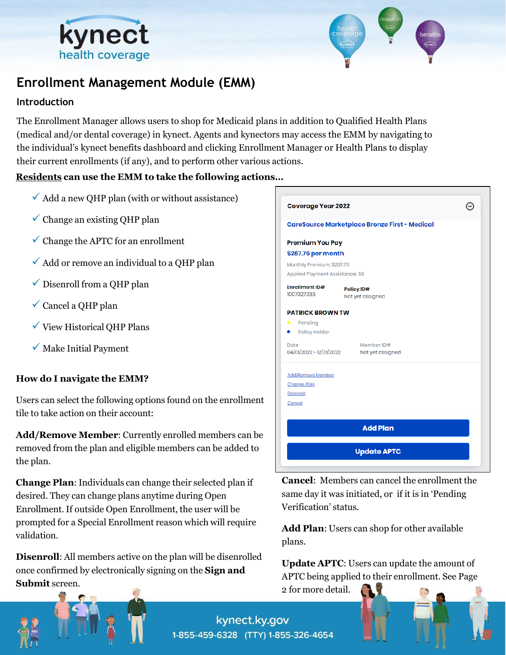



# **Enrollment Management Module (EMM)**

#### **Introduction**

The Enrollment Manager allows users to shop for Medicaid plans in addition to Qualified Health Plans (medical and/or dental coverage) in kynect. Agents and kynectors may access the EMM by navigating to the individual's kynect benefits dashboard and clicking Enrollment Manager or Health Plans to display their current enrollments (if any), and to perform other various actions.

#### **Residents can use the EMM to take the following actions…**

- $\checkmark$  Add a new QHP plan (with or without assistance)
- $\checkmark$  Change an existing QHP plan
- $\checkmark$  Change the APTC for an enrollment
- $\checkmark$  Add or remove an individual to a QHP plan
- $\checkmark$  Disenroll from a OHP plan
- $\checkmark$  Cancel a QHP plan
- $\checkmark$  View Historical QHP Plans
- $\checkmark$  Make Initial Payment

#### **How do I navigate the EMM?**

Users can select the following options found on the enrollment tile to take action on their account:

**Add/Remove Member**: Currently enrolled members can be removed from the plan and eligible members can be added to the plan.

**Change Plan**: Individuals can change their selected plan if desired. They can change plans anytime during Open Enrollment. If outside Open Enrollment, the user will be prompted for a Special Enrollment reason which will require validation.

**Disenroll**: All members active on the plan will be disenrolled once confirmed by electronically signing on the **Sign and Submit** screen.

| <b>Coverage Year 2022</b>           |                                                      |  |
|-------------------------------------|------------------------------------------------------|--|
|                                     | <b>CareSource Marketplace Bronze First - Medical</b> |  |
| <b>Premium You Pay</b>              |                                                      |  |
| \$287.76 per month                  |                                                      |  |
| Monthly Premium: \$287.76           |                                                      |  |
| Applied Payment Assistance: \$0     |                                                      |  |
| <b>Enrollment ID#</b><br>1007327288 | Policy ID#<br>Not yet assigned                       |  |
| <b>PATRICK BROWN TW</b>             |                                                      |  |
| $\bullet$<br>Pending                |                                                      |  |
| <b>Policy Holder</b>                |                                                      |  |
| Date<br>04/01/2022 - 12/31/2022     | Member ID#<br>Not yet assigned                       |  |
| <b>Add/Remove Member</b>            |                                                      |  |
| <b>Change Plan</b>                  |                                                      |  |
| <b>Disenroll</b>                    |                                                      |  |
| Cancel                              |                                                      |  |
|                                     | <b>Add Plan</b>                                      |  |
|                                     | <b>Update APTC</b>                                   |  |

**Cancel**: Members can cancel the enrollment the same day it was initiated, or if it is in 'Pending Verification' status.

**Add Plan**: Users can shop for other available plans.

**Update APTC**: Users can update the amount of APTC being applied to their enrollment. See Page 2 for more detail.



kynect.ky.gov 1-855-459-6328 (TTY) 1-855-326-4654